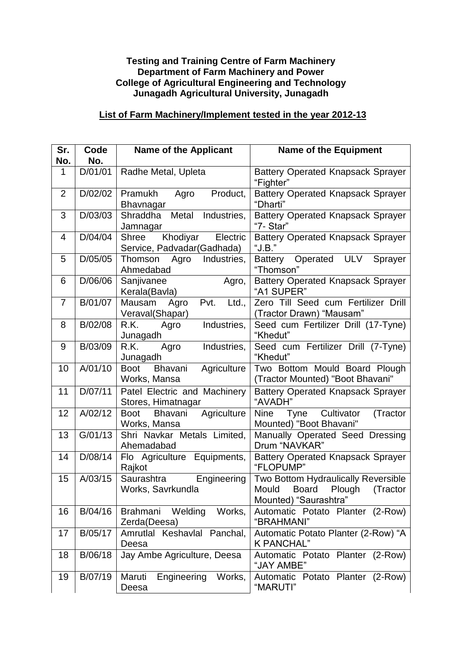## **Testing and Training Centre of Farm Machinery Department of Farm Machinery and Power College of Agricultural Engineering and Technology Junagadh Agricultural University, Junagadh**

## **List of Farm Machinery/Implement tested in the year 2012-13**

| Sr.<br>No.     | Code<br>No. | <b>Name of the Applicant</b>                                | <b>Name of the Equipment</b>                                                                |
|----------------|-------------|-------------------------------------------------------------|---------------------------------------------------------------------------------------------|
| 1              | D/01/01     | Radhe Metal, Upleta                                         | <b>Battery Operated Knapsack Sprayer</b><br>"Fighter"                                       |
| $\overline{2}$ | D/02/02     | Product,<br>Pramukh<br>Agro<br>Bhavnagar                    | <b>Battery Operated Knapsack Sprayer</b><br>"Dharti"                                        |
| 3              | D/03/03     | Shraddha<br>Metal<br>Industries,<br>Jamnagar                | <b>Battery Operated Knapsack Sprayer</b><br>"7- Star"                                       |
| 4              | D/04/04     | Khodiyar<br>Electric<br>Shree<br>Service, Padvadar(Gadhada) | <b>Battery Operated Knapsack Sprayer</b><br>" $J.B."$                                       |
| 5              | D/05/05     | Thomson<br>Industries,<br>Agro<br>Ahmedabad                 | Battery Operated<br>ULV<br>Sprayer<br>"Thomson"                                             |
| 6              | D/06/06     | Sanjivanee<br>Agro,<br>Kerala(Bavla)                        | <b>Battery Operated Knapsack Sprayer</b><br>"A1 SUPER"                                      |
| $\overline{7}$ | B/01/07     | Pvt.<br>Ltd.,<br>Mausam<br>Agro<br>Veraval(Shapar)          | Zero Till Seed cum Fertilizer Drill<br>(Tractor Drawn) "Mausam"                             |
| 8              | B/02/08     | Industries,<br>R.K.<br>Agro<br>Junagadh                     | Seed cum Fertilizer Drill (17-Tyne)<br>"Khedut"                                             |
| 9              | B/03/09     | R.K.<br>Agro<br>Industries,<br>Junagadh                     | Seed cum Fertilizer Drill (7-Tyne)<br>"Khedut"                                              |
| 10             | A/01/10     | Agriculture<br>Bhavani<br><b>Boot</b><br>Works, Mansa       | Two Bottom Mould Board Plough<br>(Tractor Mounted) "Boot Bhavani"                           |
| 11             | D/07/11     | Patel Electric and Machinery<br>Stores, Himatnagar          | <b>Battery Operated Knapsack Sprayer</b><br>"AVADH"                                         |
| 12             | A/02/12     | Agriculture<br><b>Boot</b><br>Bhavani<br>Works, Mansa       | Cultivator<br>Nine<br>(Tractor<br>Tyne<br>Mounted) "Boot Bhavani"                           |
| 13             | G/01/13     | Shri Navkar Metals Limited,<br>Ahemadabad                   | Manually Operated Seed Dressing<br>Drum "NAVKAR"                                            |
| 14             | D/08/14     | Flo Agriculture Equipments,<br>Rajkot                       | <b>Battery Operated Knapsack Sprayer</b><br>"FLOPUMP"                                       |
| 15             | A/03/15     | Saurashtra<br>Engineering<br>Works, Savrkundla              | Two Bottom Hydraulically Reversible<br>Mould Board Plough (Tractor<br>Mounted) "Saurashtra" |
| 16             | B/04/16     | Welding<br>Works,<br><b>Brahmani</b><br>Zerda(Deesa)        | Automatic Potato Planter (2-Row)<br>"BRAHMANI"                                              |
| 17             | B/05/17     | Amrutlal Keshavlal Panchal,<br>Deesa                        | Automatic Potato Planter (2-Row) "A<br>K PANCHAL"                                           |
| 18             | B/06/18     | Jay Ambe Agriculture, Deesa                                 | Automatic Potato Planter (2-Row)<br>"JAY AMBE"                                              |
| 19             | B/07/19     | Maruti<br>Engineering<br>Works,<br>Deesa                    | Automatic Potato Planter (2-Row)<br>"MARUTI"                                                |